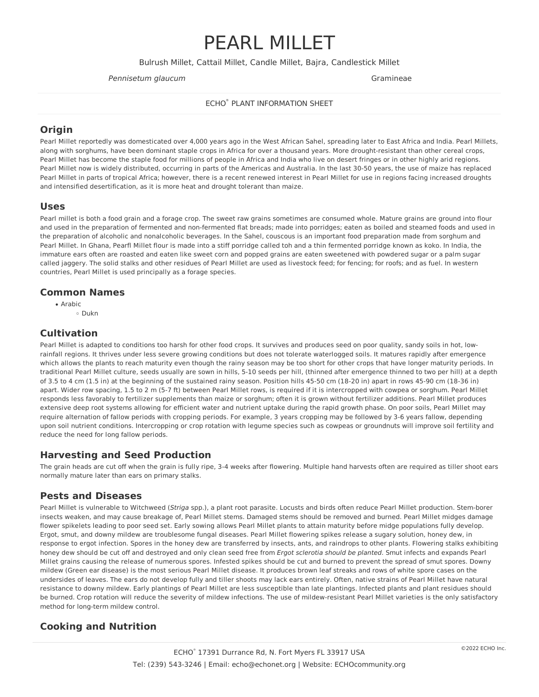# PEARL MILLET

Bulrush Millet, Cattail Millet, Candle Millet, Bajra, Candlestick Millet

#### Pennisetum glaucum and Gramineae control of the Control of Gramineae control of Gramineae control of Gramineae

ECHO® PLANT INFORMATION SHEET

# **Origin**

Pearl Millet reportedly was domesticated over 4,000 years ago in the West African Sahel, spreading later to East Africa and India. Pearl Millets, along with sorghums, have been dominant staple crops in Africa for over a thousand years. More drought-resistant than other cereal crops, Pearl Millet has become the staple food for millions of people in Africa and India who live on desert fringes or in other highly arid regions. Pearl Millet now is widely distributed, occurring in parts of the Americas and Australia. In the last 30-50 years, the use of maize has replaced Pearl Millet in parts of tropical Africa; however, there is a recent renewed interest in Pearl Millet for use in regions facing increased droughts and intensified desertification, as it is more heat and drought tolerant than maize.

#### **Uses**

Pearl millet is both a food grain and a forage crop. The sweet raw grains sometimes are consumed whole. Mature grains are ground into flour and used in the preparation of fermented and non-fermented flat breads; made into porridges; eaten as boiled and steamed foods and used in the preparation of alcoholic and nonalcoholic beverages. In the Sahel, couscous is an important food preparation made from sorghum and Pearl Millet. In Ghana, Pearfl Millet flour is made into a stiff porridge called toh and a thin fermented porridge known as koko. In India, the immature ears often are roasted and eaten like sweet corn and popped grains are eaten sweetened with powdered sugar or a palm sugar called jaggery. The solid stalks and other residues of Pearl Millet are used as livestock feed; for fencing; for roofs; and as fuel. In western countries, Pearl Millet is used principally as a forage species.

#### **Common Names**

• Arabic<br> $\frac{1}{2}$ Dukn

## **Cultivation**

Pearl Millet is adapted to conditions too harsh for other food crops. It survives and produces seed on poor quality, sandy soils in hot, low rainfall regions. It thrives under less severe growing conditions but does not tolerate waterlogged soils. It matures rapidly after emergence which allows the plants to reach maturity even though the rainy season may be too short for other crops that have longer maturity periods. In traditional Pearl Millet culture, seeds usually are sown in hills, 5-10 seeds per hill, (thinned after emergence thinned to two per hill) at a depth of 3.5 to 4 cm (1.5 in) at the beginning ofthe sustained rainy season. Position hills 45-50 cm (18-20 in) apart in rows 45-90 cm (18-36 in) apart. Wider row spacing, 1.5 to 2 m (5-7 ft) between Pearl Millet rows, is required if it is intercropped with cowpea or sorghum. Pearl Millet responds less favorably to fertilizer supplements than maize or sorghum; often it is grown without fertilizer additions. Pearl Millet produces extensive deep root systems allowing for efficient water and nutrient uptake during the rapid growth phase. On poor soils, Pearl Millet may require alternation offallow periods with cropping periods. For example, 3 years cropping may be followed by 3-6 years fallow, depending upon soil nutrient conditions. Intercropping or crop rotation with legume species such as cowpeas or groundnuts will improve soil fertility and reduce the need for long fallow periods.

## **Harvesting and Seed Production**

The grain heads are cut off when the grain is fully ripe, 3-4 weeks after flowering. Multiple hand harvests often are required as tiller shoot ears normally mature later than ears on primary stalks.

## **Pests and Diseases**

Pearl Millet is vulnerable to Witchweed (Striga spp.), a plant root parasite. Locusts and birds often reduce Pearl Millet production. Stem-borer insects weaken, and may cause breakage of, Pearl Millet stems. Damaged stems should be removed and burned. Pearl Millet midges damage flower spikelets leading to poor seed set. Early sowing allows Pearl Millet plants to attain maturity before midge populations fully develop. Ergot, smut, and downy mildew are troublesome fungal diseases. Pearl Millet flowering spikes release a sugary solution, honey dew, in response to ergot infection. Spores in the honey dew are transferred by insects, ants, and raindrops to other plants. Flowering stalks exhibiting honey dew should be cut off and destroyed and only clean seed free from Ergot sclerotia should be planted. Smut infects and expands Pearl Millet grains causing the release of numerous spores. Infested spikes should be cut and burned to prevent the spread ofsmut spores. Downy mildew (Green ear disease) is the most serious Pearl Millet disease. It produces brown leaf streaks and rows of white spore cases on the undersides of leaves. The ears do not develop fully and tiller shoots may lack ears entirely. Often, native strains of Pearl Millet have natural resistance to downy mildew. Early plantings of Pearl Millet are less susceptible than late plantings. Infected plants and plant residues should be burned. Crop rotation will reduce the severity of mildew infections. The use of mildew-resistant Pearl Millet varieties is the only satisfactory method for long-term mildew control.

# **Cooking and Nutrition**